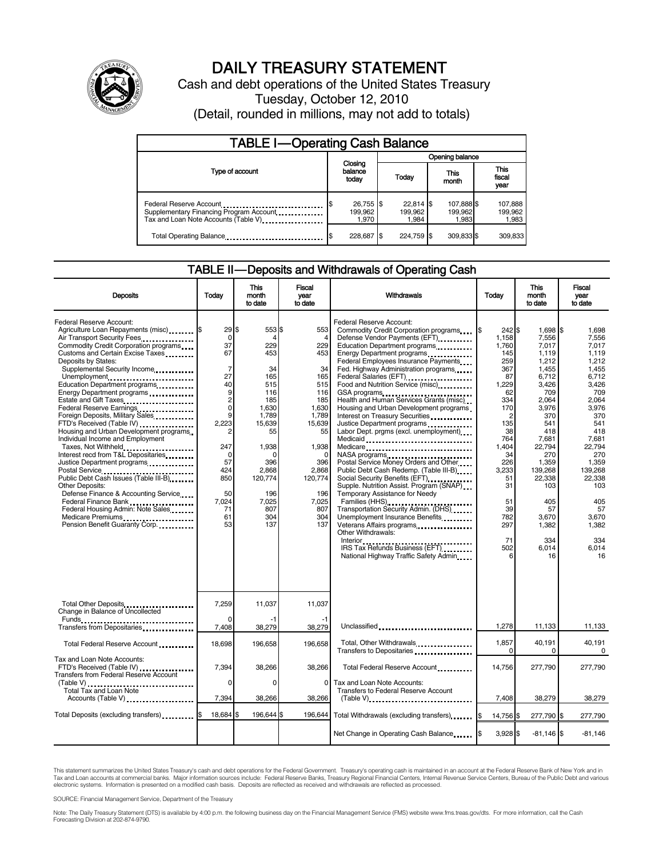

# DAILY TREASURY STATEMENT

Cash and debt operations of the United States Treasury Tuesday, October 12, 2010 (Detail, rounded in millions, may not add to totals)

| <b>TABLE I-Operating Cash Balance</b>                                                                       |                               |                                 |                                |                               |  |  |
|-------------------------------------------------------------------------------------------------------------|-------------------------------|---------------------------------|--------------------------------|-------------------------------|--|--|
|                                                                                                             |                               | Opening balance                 |                                |                               |  |  |
| Type of account                                                                                             | Closing<br>balance<br>today   | Today                           | <b>This</b><br>month           | <b>This</b><br>fiscal<br>year |  |  |
| Federal Reserve Account<br>Supplementary Financing Program Account<br>Tax and Loan Note Accounts (Table V). | 26,755 \$<br>199,962<br>1.970 | $22.814$ \$<br>199.962<br>1.984 | 107,888 \$<br>199,962<br>1,983 | 107,888<br>199,962<br>1,983   |  |  |
| Total Operating Balance                                                                                     | 228,687                       | 224,759                         | 309,833\$                      | 309.833                       |  |  |

### TABLE II — Deposits and Withdrawals of Operating Cash

| <b>Deposits</b>                                                                                                                                                                                                                                                                                                                                                                                                                                                                                                                                                                                                                                                                                                                                                                                                                                                                                                                                                                                                                                                                       | Today                                                                                                                                                                                                   | <b>This</b><br>month<br>to date                                                                                                                                            | <b>Fiscal</b><br>year<br>to date                                                                                                                                                             | <b>Withdrawals</b>                                                                                                                                                                                                                                                                                                                                                                                                                                                                                                                                                                                                                                                                                                                                                                                                                                                                                                                                                                                                                         | Todav                                                                                                                                                                                          | <b>This</b><br>month<br>to date                                                                                                                                                                                                           | <b>Fiscal</b><br>year<br>to date                                                                                                                                                                                                       |
|---------------------------------------------------------------------------------------------------------------------------------------------------------------------------------------------------------------------------------------------------------------------------------------------------------------------------------------------------------------------------------------------------------------------------------------------------------------------------------------------------------------------------------------------------------------------------------------------------------------------------------------------------------------------------------------------------------------------------------------------------------------------------------------------------------------------------------------------------------------------------------------------------------------------------------------------------------------------------------------------------------------------------------------------------------------------------------------|---------------------------------------------------------------------------------------------------------------------------------------------------------------------------------------------------------|----------------------------------------------------------------------------------------------------------------------------------------------------------------------------|----------------------------------------------------------------------------------------------------------------------------------------------------------------------------------------------|--------------------------------------------------------------------------------------------------------------------------------------------------------------------------------------------------------------------------------------------------------------------------------------------------------------------------------------------------------------------------------------------------------------------------------------------------------------------------------------------------------------------------------------------------------------------------------------------------------------------------------------------------------------------------------------------------------------------------------------------------------------------------------------------------------------------------------------------------------------------------------------------------------------------------------------------------------------------------------------------------------------------------------------------|------------------------------------------------------------------------------------------------------------------------------------------------------------------------------------------------|-------------------------------------------------------------------------------------------------------------------------------------------------------------------------------------------------------------------------------------------|----------------------------------------------------------------------------------------------------------------------------------------------------------------------------------------------------------------------------------------|
| Federal Reserve Account:<br>Agriculture Loan Repayments (misc) [5<br>Air Transport Security Fees<br>Commodity Credit Corporation programs<br>Customs and Certain Excise Taxes<br>Deposits by States:<br>Supplemental Security Income<br>Unemployment<br>Education Department programs<br>Energy Department programs<br>Estate and Gift Taxes<br>Federal Reserve Earnings<br>Foreign Deposits, Military Sales<br>FTD's Received (Table IV)<br>Housing and Urban Development programs<br>Individual Income and Employment<br>Taxes, Not Withheld<br>Interest recd from T&L Depositaries<br>Justice Department programs<br>Postal Service<br><br>Public Debt Cash Issues (Table III-B)<br><b>Other Deposits:</b><br>Defense Finance & Accounting Service<br>Federal Finance Bank<br>1999: The President Press Paragraphy of Press Press Press Press Press Press Press Press Press Press Press Press Press Press Press Press Press Press Press Press Press Press Press Press Press Press Pres<br>Federal Housing Admin: Note Sales<br>Medicare Premiums<br>Pension Benefit Guaranty Corp. | $29$ \$<br>$\mathbf 0$<br>37<br>67<br>$\overline{7}$<br>27<br>40<br>9<br>$\overline{c}$<br>$\mathbf 0$<br>9<br>2.223<br>$\overline{2}$<br>247<br>0<br>57<br>424<br>850<br>50<br>7,024<br>71<br>61<br>53 | 553\$<br>4<br>229<br>453<br>34<br>165<br>515<br>116<br>185<br>1,630<br>1.789<br>15,639<br>55<br>1,938<br>n<br>396<br>2,868<br>120,774<br>196<br>7,025<br>807<br>304<br>137 | 553<br>$\overline{4}$<br>229<br>453<br>34<br>165<br>515<br>116<br>185<br>1,630<br>1.789<br>15,639<br>55<br>1,938<br>$\Omega$<br>396<br>2,868<br>120,774<br>196<br>7,025<br>807<br>304<br>137 | Federal Reserve Account:<br>Commodity Credit Corporation programs<br>Defense Vendor Payments (EFT)<br>Education Department programs<br>Energy Department programs<br><br>Federal Employees Insurance Payments<br>Fed. Highway Administration programs<br>Federal Salaries (EFT)<br>Federal Salaries (EFT)<br>Food and Nutrition Service (misc)<br>GSA programs<br>Health and Human Services Grants (misc)<br>Housing and Urban Development programs<br>Interest on Treasury Securities<br>Justice Department programs<br><br>Labor Dept. prgms (excl. unemployment)<br>Medicaid<br>Medicare<br>NASA programs<br>Postal Service Money Orders and Other<br>Public Debt Cash Redemp. (Table III-B)<br>Social Security Benefits (EFT)<br>Supple. Nutrition Assist. Program (SNAP)<br>Temporary Assistance for Needy<br>Families (HHS)<br>Transportation Security Admin. (DHS)<br>Unemployment Insurance Benefits<br>Veterans Affairs programs<br>Other Withdrawals:<br>IRS Tax Refunds Business (EFT)<br>National Highway Traffic Safety Admin | 242S<br>1.158<br>1,760<br>145<br>259<br>367<br>87<br>1.229<br>62<br>334<br>170<br>2<br>135<br>38<br>764<br>1.404<br>34<br>226<br>3,233<br>51<br>31<br>51<br>39<br>782<br>297<br>71<br>502<br>6 | 1,698 \$<br>7,556<br>7.017<br>1.119<br>1,212<br>1,455<br>6,712<br>3,426<br>709<br>2,064<br>3,976<br>370<br>541<br>418<br>7,681<br>22,794<br>270<br>1,359<br>139,268<br>22,338<br>103<br>405<br>57<br>3,670<br>1,382<br>334<br>6,014<br>16 | 1,698<br>7.556<br>7.017<br>1.119<br>1.212<br>1.455<br>6.712<br>3.426<br>709<br>2,064<br>3,976<br>370<br>541<br>418<br>7,681<br>22.794<br>270<br>1.359<br>139,268<br>22,338<br>103<br>405<br>57<br>3,670<br>1.382<br>334<br>6,014<br>16 |
| Total Other Deposits<br>Change in Balance of Uncollected                                                                                                                                                                                                                                                                                                                                                                                                                                                                                                                                                                                                                                                                                                                                                                                                                                                                                                                                                                                                                              | 7,259                                                                                                                                                                                                   | 11,037                                                                                                                                                                     | 11,037                                                                                                                                                                                       |                                                                                                                                                                                                                                                                                                                                                                                                                                                                                                                                                                                                                                                                                                                                                                                                                                                                                                                                                                                                                                            |                                                                                                                                                                                                |                                                                                                                                                                                                                                           |                                                                                                                                                                                                                                        |
| Funds<br>Transfers from Depositaries<br>                                                                                                                                                                                                                                                                                                                                                                                                                                                                                                                                                                                                                                                                                                                                                                                                                                                                                                                                                                                                                                              | 7,408                                                                                                                                                                                                   | 38,279                                                                                                                                                                     | 38,279                                                                                                                                                                                       | Unclassified                                                                                                                                                                                                                                                                                                                                                                                                                                                                                                                                                                                                                                                                                                                                                                                                                                                                                                                                                                                                                               | 1,278                                                                                                                                                                                          | 11,133                                                                                                                                                                                                                                    | 11,133                                                                                                                                                                                                                                 |
| Total Federal Reserve Account                                                                                                                                                                                                                                                                                                                                                                                                                                                                                                                                                                                                                                                                                                                                                                                                                                                                                                                                                                                                                                                         | 18.698                                                                                                                                                                                                  | 196.658                                                                                                                                                                    | 196.658                                                                                                                                                                                      | Total, Other Withdrawals<br>Transfers to Depositaries                                                                                                                                                                                                                                                                                                                                                                                                                                                                                                                                                                                                                                                                                                                                                                                                                                                                                                                                                                                      | 1,857<br>$\Omega$                                                                                                                                                                              | 40,191<br>0                                                                                                                                                                                                                               | 40,191<br>0                                                                                                                                                                                                                            |
| Tax and Loan Note Accounts:<br>FTD's Received (Table IV)<br>Transfers from Federal Reserve Account                                                                                                                                                                                                                                                                                                                                                                                                                                                                                                                                                                                                                                                                                                                                                                                                                                                                                                                                                                                    | 7,394                                                                                                                                                                                                   | 38,266                                                                                                                                                                     | 38,266                                                                                                                                                                                       | Total Federal Reserve Account                                                                                                                                                                                                                                                                                                                                                                                                                                                                                                                                                                                                                                                                                                                                                                                                                                                                                                                                                                                                              | 14,756                                                                                                                                                                                         | 277,790                                                                                                                                                                                                                                   | 277,790                                                                                                                                                                                                                                |
| <b>Total Tax and Loan Note</b><br>Accounts (Table V)                                                                                                                                                                                                                                                                                                                                                                                                                                                                                                                                                                                                                                                                                                                                                                                                                                                                                                                                                                                                                                  | $\Omega$<br>7,394                                                                                                                                                                                       | $\Omega$<br>38,266                                                                                                                                                         | $\Omega$<br>38,266                                                                                                                                                                           | Tax and Loan Note Accounts:<br><b>Transfers to Federal Reserve Account</b><br>$(Table V)$                                                                                                                                                                                                                                                                                                                                                                                                                                                                                                                                                                                                                                                                                                                                                                                                                                                                                                                                                  | 7,408                                                                                                                                                                                          | 38,279                                                                                                                                                                                                                                    | 38,279                                                                                                                                                                                                                                 |
| Total Deposits (excluding transfers) <b>S</b>                                                                                                                                                                                                                                                                                                                                                                                                                                                                                                                                                                                                                                                                                                                                                                                                                                                                                                                                                                                                                                         | 18,684 \$                                                                                                                                                                                               | 196,644 \$                                                                                                                                                                 | 196,644                                                                                                                                                                                      | Total Withdrawals (excluding transfers)                                                                                                                                                                                                                                                                                                                                                                                                                                                                                                                                                                                                                                                                                                                                                                                                                                                                                                                                                                                                    | 14,756 \$                                                                                                                                                                                      | 277,790 \$                                                                                                                                                                                                                                | 277,790                                                                                                                                                                                                                                |
|                                                                                                                                                                                                                                                                                                                                                                                                                                                                                                                                                                                                                                                                                                                                                                                                                                                                                                                                                                                                                                                                                       |                                                                                                                                                                                                         |                                                                                                                                                                            |                                                                                                                                                                                              | Net Change in Operating Cash Balance                                                                                                                                                                                                                                                                                                                                                                                                                                                                                                                                                                                                                                                                                                                                                                                                                                                                                                                                                                                                       | 3,928 \$                                                                                                                                                                                       | $-81,146$ \$                                                                                                                                                                                                                              | $-81,146$                                                                                                                                                                                                                              |

This statement summarizes the United States Treasury's cash and debt operations for the Federal Government. Treasury's operating cash is maintained in an account at the Federal Reserve Bank of New York and in<br>Tax and Loan

SOURCE: Financial Management Service, Department of the Treasury

Note: The Daily Treasury Statement (DTS) is available by 4:00 p.m. the following business day on the Financial Management Service (FMS) website www.fms.treas.gov/dts. For more information, call the Cash<br>Forecasting Divisio